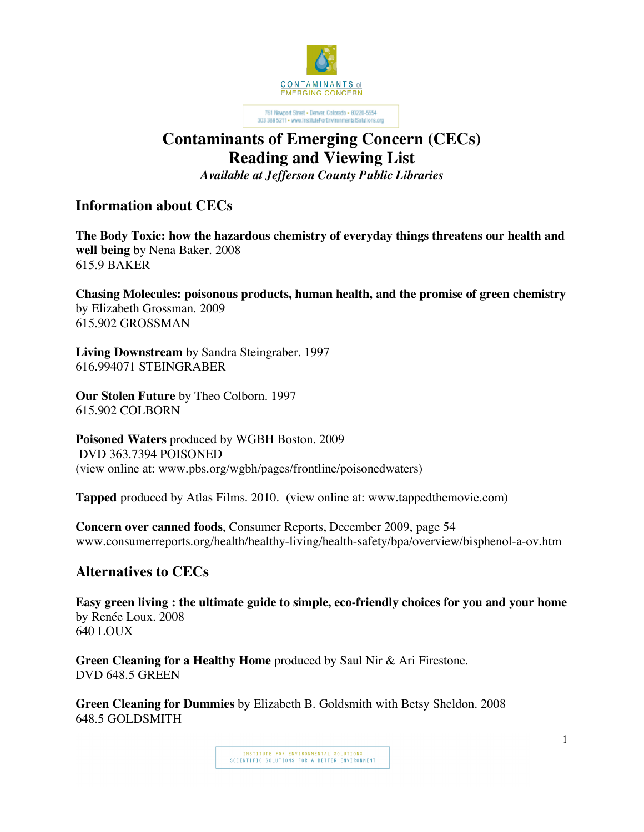

-<br> 761 Newport Street - Demrer, Colorado - 80220-5554<br> 303 388 5211 - www.instituteForEnvironmentalSolutions.org

## **Contaminants of Emerging Concern (CECs) Reading and Viewing List**

*Available at Jefferson County Public Libraries*

**Information about CECs**

**The Body Toxic: how the hazardous chemistry of everyday things threatens our health and well being** by Nena Baker. 2008 615.9 BAKER

**Chasing Molecules: poisonous products, human health, and the promise of green chemistry** by Elizabeth Grossman. 2009 615.902 GROSSMAN

**Living Downstream** by Sandra Steingraber. 1997 616.994071 STEINGRABER

**Our Stolen Future** by Theo Colborn. 1997 615.902 COLBORN

**Poisoned Waters** produced by WGBH Boston. 2009 DVD 363.7394 POISONED (view online at: www.pbs.org/wgbh/pages/frontline/poisonedwaters)

**Tapped** produced by Atlas Films. 2010. (view online at: www.tappedthemovie.com)

**Concern over canned foods**, Consumer Reports, December 2009, page 54 www.consumerreports.org/health/healthy-living/health-safety/bpa/overview/bisphenol-a-ov.htm

## **Alternatives to CECs**

**Easy green living : the ultimate guide to simple, eco-friendly choices for you and your home** by Renée Loux. 2008 640 LOUX

**Green Cleaning for a Healthy Home** produced by Saul Nir & Ari Firestone. DVD 648.5 GREEN

**Green Cleaning for Dummies** by Elizabeth B. Goldsmith with Betsy Sheldon. 2008 648.5 GOLDSMITH